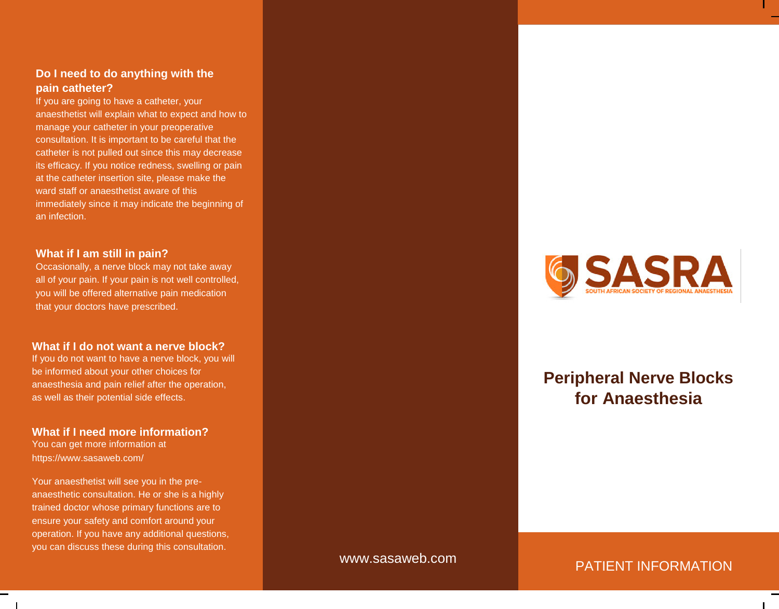## **Do I need to do anything with the pain catheter?**

If you are going to have a catheter, your anaesthetist will explain what to expect and how to manage your catheter in your preoperative consultation. It is important to be careful that the catheter is not pulled out since this may decrease its efficacy. If you notice redness, swelling or pain at the catheter insertion site, please make the ward staff or anaesthetist aware of this immediately since it may indicate the beginning of an infection.

## **What if I am still in pain?**

Occasionally, a nerve block may not take away all of your pain. If your pain is not well controlled, you will be offered alternative pain medication that your doctors have prescribed.

## **What if I do not want a nerve block?**

If you do not want to have a nerve block, you will be informed about your other choices for anaesthesia and pain relief after the operation, as well as their potential side effects.

#### **What if I need more information?** You can get more information at

https://www.sasaweb.com/

Your anaesthetist will see you in the preanaesthetic consultation. He or she is a highly trained doctor whose primary functions are to ensure your safety and comfort around your operation. If you have any additional questions, you can discuss these during this consultation.



# **Peripheral Nerve Blocks for Anaesthesia**

www.sasaweb.com PATIENT INFORMATION